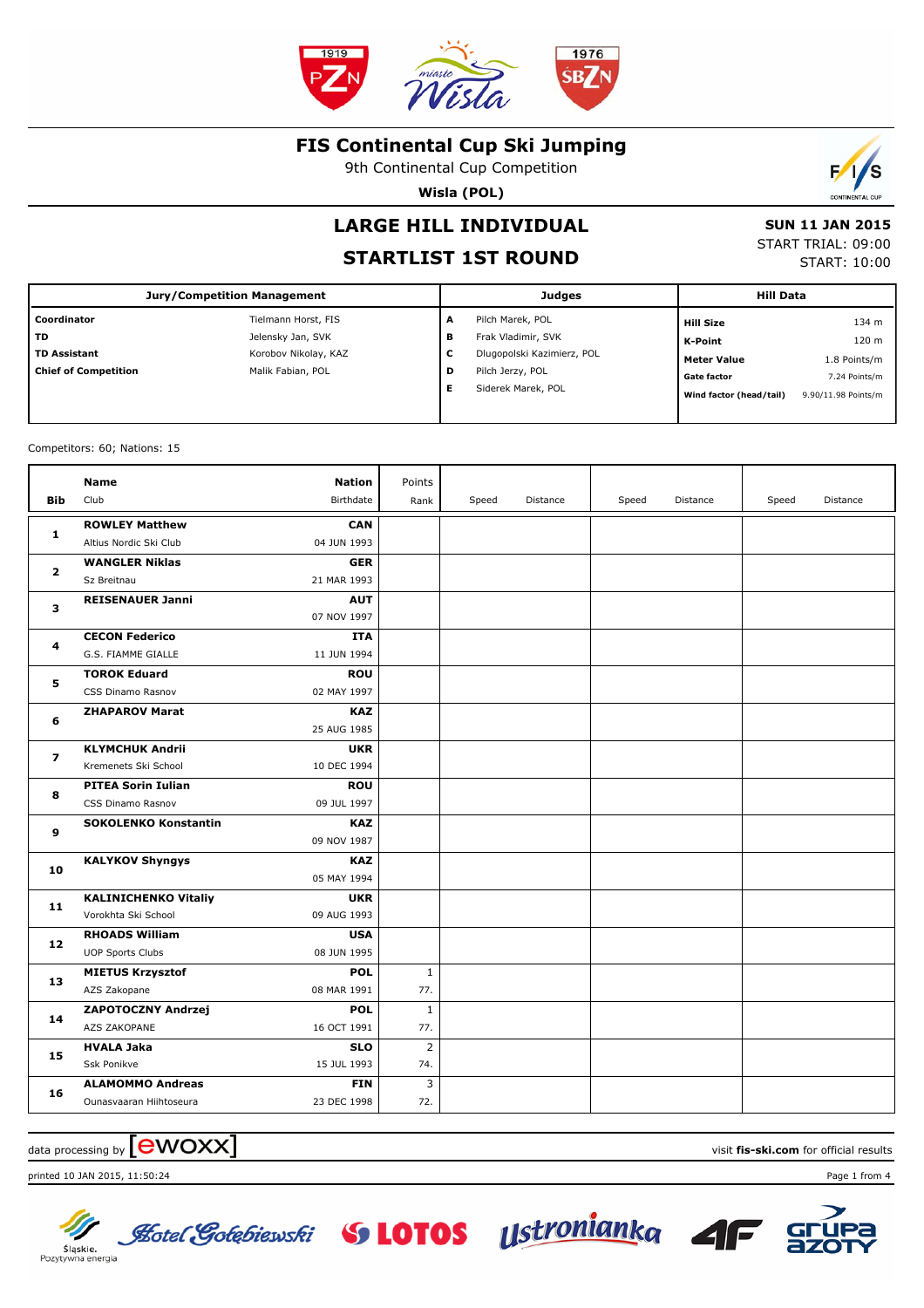

9th Continental Cup Competition

**Wisla (POL)**



## **STARTLIST 1ST ROUND**

 **SUN 11 JAN 2015** START TRIAL: 09:00 START: 10:00

Đ

|                             | <b>Jury/Competition Management</b> |   | Judges                     | <b>Hill Data</b>        |                     |
|-----------------------------|------------------------------------|---|----------------------------|-------------------------|---------------------|
| Coordinator                 | Tielmann Horst, FIS                | A | Pilch Marek, POL           | <b>Hill Size</b>        | 134 m               |
| <b>TD</b>                   | Jelensky Jan, SVK                  | в | Frak Vladimir, SVK         | K-Point                 | 120 <sub>m</sub>    |
| <b>TD Assistant</b>         | Korobov Nikolay, KAZ               | с | Dlugopolski Kazimierz, POL | <b>Meter Value</b>      | 1.8 Points/m        |
| <b>Chief of Competition</b> | Malik Fabian, POL                  | D | Pilch Jerzy, POL           | <b>Gate factor</b>      | 7.24 Points/m       |
|                             |                                    | Е | Siderek Marek, POL         | Wind factor (head/tail) | 9.90/11.98 Points/m |
|                             |                                    |   |                            |                         |                     |

Competitors: 60; Nations: 15

|                         | <b>Name</b>                 | <b>Nation</b> | Points         |       |          |       |          |       |          |
|-------------------------|-----------------------------|---------------|----------------|-------|----------|-------|----------|-------|----------|
| Bib                     | Club                        | Birthdate     | Rank           | Speed | Distance | Speed | Distance | Speed | Distance |
| 1                       | <b>ROWLEY Matthew</b>       | <b>CAN</b>    |                |       |          |       |          |       |          |
|                         | Altius Nordic Ski Club      | 04 JUN 1993   |                |       |          |       |          |       |          |
| $\overline{\mathbf{2}}$ | <b>WANGLER Niklas</b>       | <b>GER</b>    |                |       |          |       |          |       |          |
|                         | Sz Breitnau                 | 21 MAR 1993   |                |       |          |       |          |       |          |
| 3                       | <b>REISENAUER Janni</b>     | <b>AUT</b>    |                |       |          |       |          |       |          |
|                         |                             | 07 NOV 1997   |                |       |          |       |          |       |          |
| 4                       | <b>CECON Federico</b>       | <b>ITA</b>    |                |       |          |       |          |       |          |
|                         | G.S. FIAMME GIALLE          | 11 JUN 1994   |                |       |          |       |          |       |          |
| 5                       | <b>TOROK Eduard</b>         | <b>ROU</b>    |                |       |          |       |          |       |          |
|                         | CSS Dinamo Rasnov           | 02 MAY 1997   |                |       |          |       |          |       |          |
| 6                       | <b>ZHAPAROV Marat</b>       | <b>KAZ</b>    |                |       |          |       |          |       |          |
|                         |                             | 25 AUG 1985   |                |       |          |       |          |       |          |
| $\overline{\mathbf{z}}$ | <b>KLYMCHUK Andrii</b>      | <b>UKR</b>    |                |       |          |       |          |       |          |
|                         | Kremenets Ski School        | 10 DEC 1994   |                |       |          |       |          |       |          |
| 8                       | <b>PITEA Sorin Iulian</b>   | <b>ROU</b>    |                |       |          |       |          |       |          |
|                         | CSS Dinamo Rasnov           | 09 JUL 1997   |                |       |          |       |          |       |          |
| 9                       | <b>SOKOLENKO Konstantin</b> | <b>KAZ</b>    |                |       |          |       |          |       |          |
|                         |                             | 09 NOV 1987   |                |       |          |       |          |       |          |
| 10                      | <b>KALYKOV Shyngys</b>      | <b>KAZ</b>    |                |       |          |       |          |       |          |
|                         |                             | 05 MAY 1994   |                |       |          |       |          |       |          |
| 11                      | <b>KALINICHENKO Vitaliy</b> | <b>UKR</b>    |                |       |          |       |          |       |          |
|                         | Vorokhta Ski School         | 09 AUG 1993   |                |       |          |       |          |       |          |
| 12                      | <b>RHOADS William</b>       | <b>USA</b>    |                |       |          |       |          |       |          |
|                         | <b>UOP Sports Clubs</b>     | 08 JUN 1995   |                |       |          |       |          |       |          |
| 13                      | <b>MIETUS Krzysztof</b>     | <b>POL</b>    | $\mathbf{1}$   |       |          |       |          |       |          |
|                         | AZS Zakopane                | 08 MAR 1991   | 77.            |       |          |       |          |       |          |
| 14                      | ZAPOTOCZNY Andrzej          | <b>POL</b>    | $\mathbf{1}$   |       |          |       |          |       |          |
|                         | AZS ZAKOPANE                | 16 OCT 1991   | 77.            |       |          |       |          |       |          |
| 15                      | <b>HVALA Jaka</b>           | <b>SLO</b>    | $\overline{2}$ |       |          |       |          |       |          |
|                         | Ssk Ponikve                 | 15 JUL 1993   | 74.            |       |          |       |          |       |          |
| 16                      | <b>ALAMOMMO Andreas</b>     | <b>FIN</b>    | 3              |       |          |       |          |       |          |
|                         | Ounasvaaran Hiihtoseura     | 23 DEC 1998   | 72.            |       |          |       |          |       |          |

## data processing by **CWOXX** and  $\blacksquare$  and  $\blacksquare$  and  $\blacksquare$  and  $\blacksquare$  and  $\blacksquare$  and  $\blacksquare$  and  $\blacksquare$  and  $\blacksquare$  and  $\blacksquare$  and  $\blacksquare$  and  $\blacksquare$  and  $\blacksquare$  and  $\blacksquare$  and  $\blacksquare$  and  $\blacksquare$  and  $\blacksquare$  and  $\blacksquare$  and  $\blacks$

printed 10 JAN 2015, 11:50:24 Page 1 from 4





**Fotel Gotebiewski** S LOTOS Ustronianka Sląskie.<br>Pozytywna energia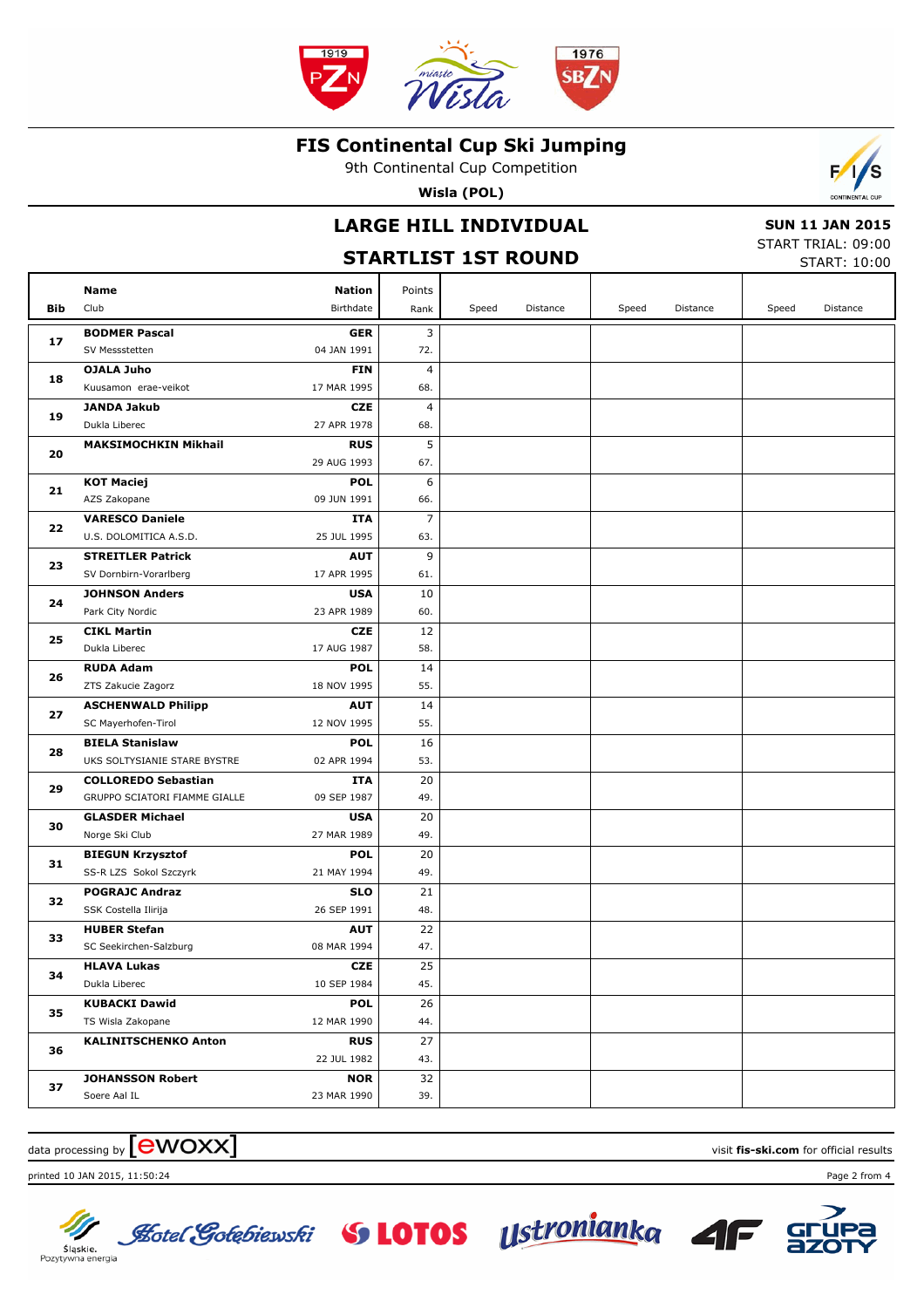

9th Continental Cup Competition

**Wisla (POL)**

## **LARGE HILL INDIVIDUAL**

## **STARTLIST 1ST ROUND**

 **SUN 11 JAN 2015** START TRIAL: 09:00

 $\mathcal{L}$ 

'S

|                                                                | SIAKILISI 131 KUUND                               |                           |           |       |          |       | START: 10:00 |       |          |
|----------------------------------------------------------------|---------------------------------------------------|---------------------------|-----------|-------|----------|-------|--------------|-------|----------|
|                                                                | Name                                              | <b>Nation</b>             | Points    |       |          |       |              |       |          |
| Bib                                                            | Club                                              | Birthdate                 | Rank      | Speed | Distance | Speed | Distance     | Speed | Distance |
|                                                                | <b>BODMER Pascal</b>                              | <b>GER</b>                | 3         |       |          |       |              |       |          |
|                                                                | SV Messstetten                                    | 04 JAN 1991               | 72.       |       |          |       |              |       |          |
|                                                                | OJALA Juho                                        | FIN                       | 4         |       |          |       |              |       |          |
|                                                                | Kuusamon erae-veikot                              | 17 MAR 1995               | 68.       |       |          |       |              |       |          |
|                                                                | <b>JANDA Jakub</b>                                | <b>CZE</b>                | 4         |       |          |       |              |       |          |
|                                                                | Dukla Liberec                                     | 27 APR 1978               | 68.       |       |          |       |              |       |          |
|                                                                | <b>MAKSIMOCHKIN Mikhail</b>                       | <b>RUS</b>                | 5         |       |          |       |              |       |          |
|                                                                |                                                   | 29 AUG 1993               | 67.       |       |          |       |              |       |          |
|                                                                | <b>KOT Maciej</b>                                 | <b>POL</b>                | 6         |       |          |       |              |       |          |
|                                                                | AZS Zakopane                                      | 09 JUN 1991               | 66.       |       |          |       |              |       |          |
|                                                                | <b>VARESCO Daniele</b>                            | ITA                       | 7         |       |          |       |              |       |          |
|                                                                | U.S. DOLOMITICA A.S.D.                            | 25 JUL 1995               | 63.       |       |          |       |              |       |          |
|                                                                | <b>STREITLER Patrick</b>                          | <b>AUT</b>                | 9         |       |          |       |              |       |          |
|                                                                | SV Dornbirn-Vorarlberg                            | 17 APR 1995               | 61.       |       |          |       |              |       |          |
|                                                                | <b>JOHNSON Anders</b>                             | <b>USA</b>                | 10        |       |          |       |              |       |          |
|                                                                | Park City Nordic                                  | 23 APR 1989               | 60.       |       |          |       |              |       |          |
| 25                                                             | <b>CIKL Martin</b>                                | <b>CZE</b>                | 12        |       |          |       |              |       |          |
|                                                                | Dukla Liberec                                     | 17 AUG 1987               | 58.       |       |          |       |              |       |          |
| 26                                                             | <b>RUDA Adam</b>                                  | <b>POL</b>                | 14        |       |          |       |              |       |          |
|                                                                | ZTS Zakucie Zagorz                                | 18 NOV 1995               | 55.       |       |          |       |              |       |          |
| 27                                                             | <b>ASCHENWALD Philipp</b>                         | <b>AUT</b>                | 14        |       |          |       |              |       |          |
|                                                                | SC Mayerhofen-Tirol                               | 12 NOV 1995               | 55.       |       |          |       |              |       |          |
| 28                                                             | <b>BIELA Stanislaw</b>                            | <b>POL</b>                | 16        |       |          |       |              |       |          |
|                                                                | UKS SOLTYSIANIE STARE BYSTRE                      | 02 APR 1994               | 53.       |       |          |       |              |       |          |
| 29                                                             | <b>COLLOREDO Sebastian</b>                        | ITA                       | 20        |       |          |       |              |       |          |
|                                                                | GRUPPO SCIATORI FIAMME GIALLE                     | 09 SEP 1987               | 49.       |       |          |       |              |       |          |
| 30                                                             | <b>GLASDER Michael</b>                            | <b>USA</b><br>27 MAR 1989 | 20<br>49. |       |          |       |              |       |          |
|                                                                | Norge Ski Club                                    | <b>POL</b>                |           |       |          |       |              |       |          |
| 31                                                             | <b>BIEGUN Krzysztof</b><br>SS-R LZS Sokol Szczyrk | 21 MAY 1994               | 20<br>49. |       |          |       |              |       |          |
|                                                                | <b>POGRAJC Andraz</b>                             | <b>SLO</b>                | 21        |       |          |       |              |       |          |
| 32                                                             | SSK Costella Ilirija                              | 26 SEP 1991               | 48.       |       |          |       |              |       |          |
|                                                                | <b>HUBER Stefan</b>                               | AUT                       | 22        |       |          |       |              |       |          |
| 33                                                             | SC Seekirchen-Salzburg                            | 08 MAR 1994               | 47.       |       |          |       |              |       |          |
|                                                                | <b>HLAVA Lukas</b>                                | CZE                       | 25        |       |          |       |              |       |          |
| 34                                                             | Dukla Liberec                                     | 10 SEP 1984               | 45.       |       |          |       |              |       |          |
| 17<br>18<br>19<br>20<br>21<br>22<br>23<br>24<br>35<br>36<br>37 | <b>KUBACKI Dawid</b>                              | <b>POL</b>                | 26        |       |          |       |              |       |          |
|                                                                | TS Wisla Zakopane                                 | 12 MAR 1990               | 44.       |       |          |       |              |       |          |
|                                                                | <b>KALINITSCHENKO Anton</b>                       | <b>RUS</b>                | 27        |       |          |       |              |       |          |
|                                                                |                                                   | 22 JUL 1982               | 43.       |       |          |       |              |       |          |
|                                                                | <b>JOHANSSON Robert</b>                           | <b>NOR</b>                | 32        |       |          |       |              |       |          |
|                                                                | Soere Aal IL                                      | 23 MAR 1990               | 39.       |       |          |       |              |       |          |

#### $\alpha$  data processing by  $\boxed{\text{ewOX}}$

printed 10 JAN 2015, 11:50:24 Page 2 from 4



Sląskie.<br>Pozytywna energia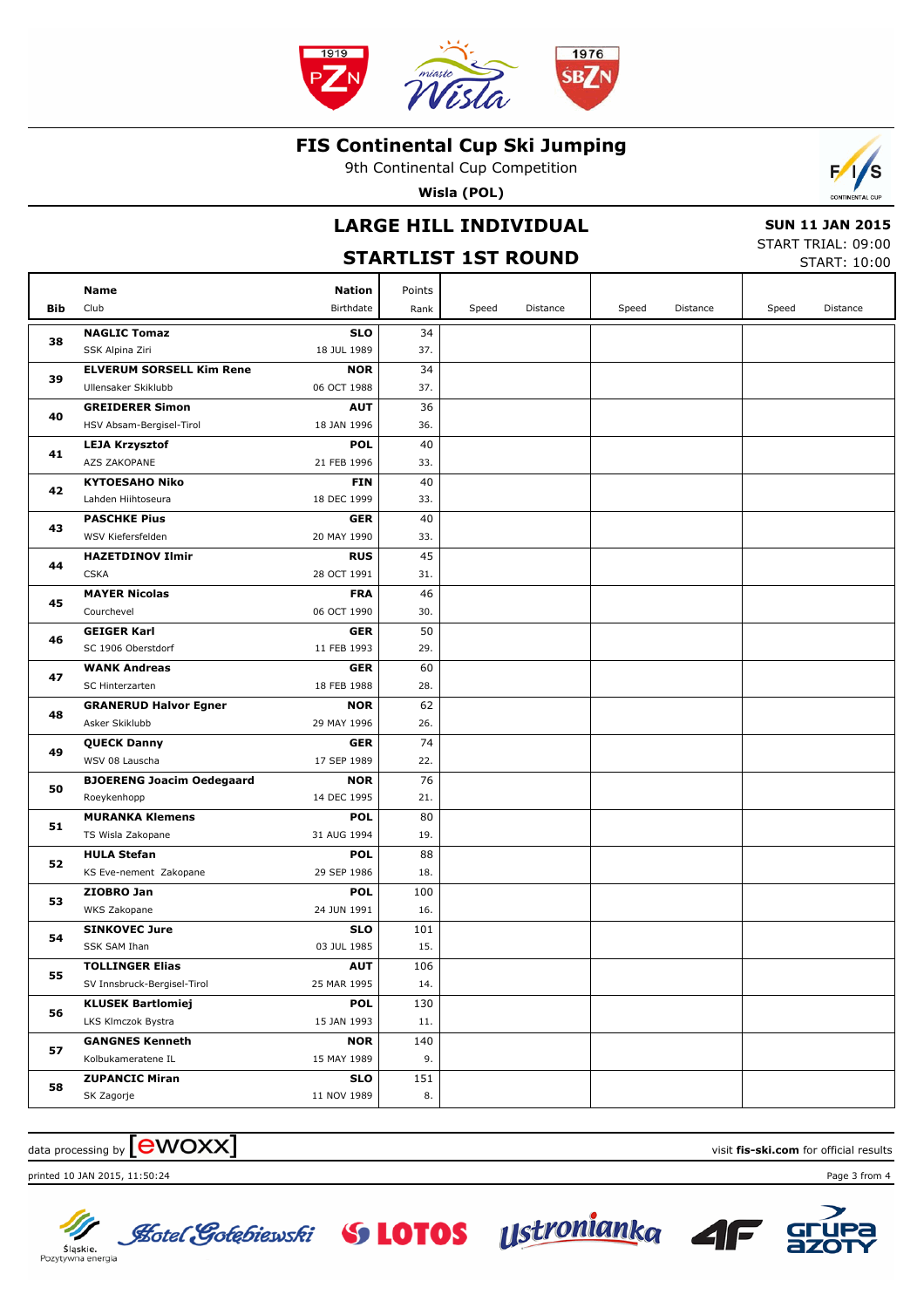

9th Continental Cup Competition

**Wisla (POL)**

## **LARGE HILL INDIVIDUAL**

#### **STARTLIST 1ST ROUND**

 **SUN 11 JAN 2015** START TRIAL: 09:00

 $\mathcal{L}$ 

START: 10:00

|     | Name                             | Nation      | Points |       |          |       |          |       |          |
|-----|----------------------------------|-------------|--------|-------|----------|-------|----------|-------|----------|
| Bib | Club                             | Birthdate   | Rank   | Speed | Distance | Speed | Distance | Speed | Distance |
|     | <b>NAGLIC Tomaz</b>              | <b>SLO</b>  | 34     |       |          |       |          |       |          |
| 38  | SSK Alpina Ziri                  | 18 JUL 1989 | 37.    |       |          |       |          |       |          |
|     | <b>ELVERUM SORSELL Kim Rene</b>  | <b>NOR</b>  | 34     |       |          |       |          |       |          |
| 39  | Ullensaker Skiklubb              | 06 OCT 1988 | 37.    |       |          |       |          |       |          |
|     | <b>GREIDERER Simon</b>           | <b>AUT</b>  | 36     |       |          |       |          |       |          |
| 40  | HSV Absam-Bergisel-Tirol         | 18 JAN 1996 | 36.    |       |          |       |          |       |          |
|     | <b>LEJA Krzysztof</b>            | <b>POL</b>  | 40     |       |          |       |          |       |          |
| 41  | AZS ZAKOPANE                     | 21 FEB 1996 | 33.    |       |          |       |          |       |          |
|     | <b>KYTOESAHO Niko</b>            | FIN         | 40     |       |          |       |          |       |          |
| 42  | Lahden Hiihtoseura               | 18 DEC 1999 | 33.    |       |          |       |          |       |          |
|     | <b>PASCHKE Pius</b>              | <b>GER</b>  | 40     |       |          |       |          |       |          |
| 43  | WSV Kiefersfelden                | 20 MAY 1990 | 33.    |       |          |       |          |       |          |
|     | <b>HAZETDINOV Ilmir</b>          | <b>RUS</b>  | 45     |       |          |       |          |       |          |
| 44  | <b>CSKA</b>                      | 28 OCT 1991 | 31.    |       |          |       |          |       |          |
|     | <b>MAYER Nicolas</b>             | <b>FRA</b>  | 46     |       |          |       |          |       |          |
| 45  | Courchevel                       | 06 OCT 1990 | 30.    |       |          |       |          |       |          |
|     | <b>GEIGER Karl</b>               | <b>GER</b>  | 50     |       |          |       |          |       |          |
| 46  | SC 1906 Oberstdorf               | 11 FEB 1993 | 29.    |       |          |       |          |       |          |
|     | <b>WANK Andreas</b>              | <b>GER</b>  | 60     |       |          |       |          |       |          |
| 47  | SC Hinterzarten                  | 18 FEB 1988 | 28.    |       |          |       |          |       |          |
|     | <b>GRANERUD Halvor Egner</b>     | <b>NOR</b>  | 62     |       |          |       |          |       |          |
| 48  | Asker Skiklubb                   | 29 MAY 1996 | 26.    |       |          |       |          |       |          |
|     | <b>QUECK Danny</b>               | <b>GER</b>  | 74     |       |          |       |          |       |          |
| 49  | WSV 08 Lauscha                   | 17 SEP 1989 | 22.    |       |          |       |          |       |          |
|     | <b>BJOERENG Joacim Oedegaard</b> | <b>NOR</b>  | 76     |       |          |       |          |       |          |
| 50  | Roeykenhopp                      | 14 DEC 1995 | 21.    |       |          |       |          |       |          |
|     | <b>MURANKA Klemens</b>           | <b>POL</b>  | 80     |       |          |       |          |       |          |
| 51  | TS Wisla Zakopane                | 31 AUG 1994 | 19.    |       |          |       |          |       |          |
| 52  | <b>HULA Stefan</b>               | <b>POL</b>  | 88     |       |          |       |          |       |          |
|     | KS Eve-nement Zakopane           | 29 SEP 1986 | 18.    |       |          |       |          |       |          |
| 53  | ZIOBRO Jan                       | <b>POL</b>  | 100    |       |          |       |          |       |          |
|     | WKS Zakopane                     | 24 JUN 1991 | 16.    |       |          |       |          |       |          |
| 54  | <b>SINKOVEC Jure</b>             | SLO         | 101    |       |          |       |          |       |          |
|     | SSK SAM Ihan                     | 03 JUL 1985 | 15.    |       |          |       |          |       |          |
| 55  | <b>TOLLINGER Elias</b>           | <b>AUT</b>  | 106    |       |          |       |          |       |          |
|     | SV Innsbruck-Bergisel-Tirol      | 25 MAR 1995 | 14.    |       |          |       |          |       |          |
| 56  | <b>KLUSEK Bartlomiej</b>         | <b>POL</b>  | 130    |       |          |       |          |       |          |
|     | LKS Klmczok Bystra               | 15 JAN 1993 | 11.    |       |          |       |          |       |          |
| 57  | <b>GANGNES Kenneth</b>           | <b>NOR</b>  | 140    |       |          |       |          |       |          |
|     | Kolbukameratene IL               | 15 MAY 1989 | 9.     |       |          |       |          |       |          |
|     | <b>ZUPANCIC Miran</b>            | <b>SLO</b>  | 151    |       |          |       |          |       |          |
| 58  | SK Zagorje                       | 11 NOV 1989 | 8.     |       |          |       |          |       |          |

### $\frac{1}{2}$  data processing by  $\boxed{\text{ewOX}}$

printed 10 JAN 2015, 11:50:24 Page 3 from 4



Sląskie.<br>Pozytywna energia